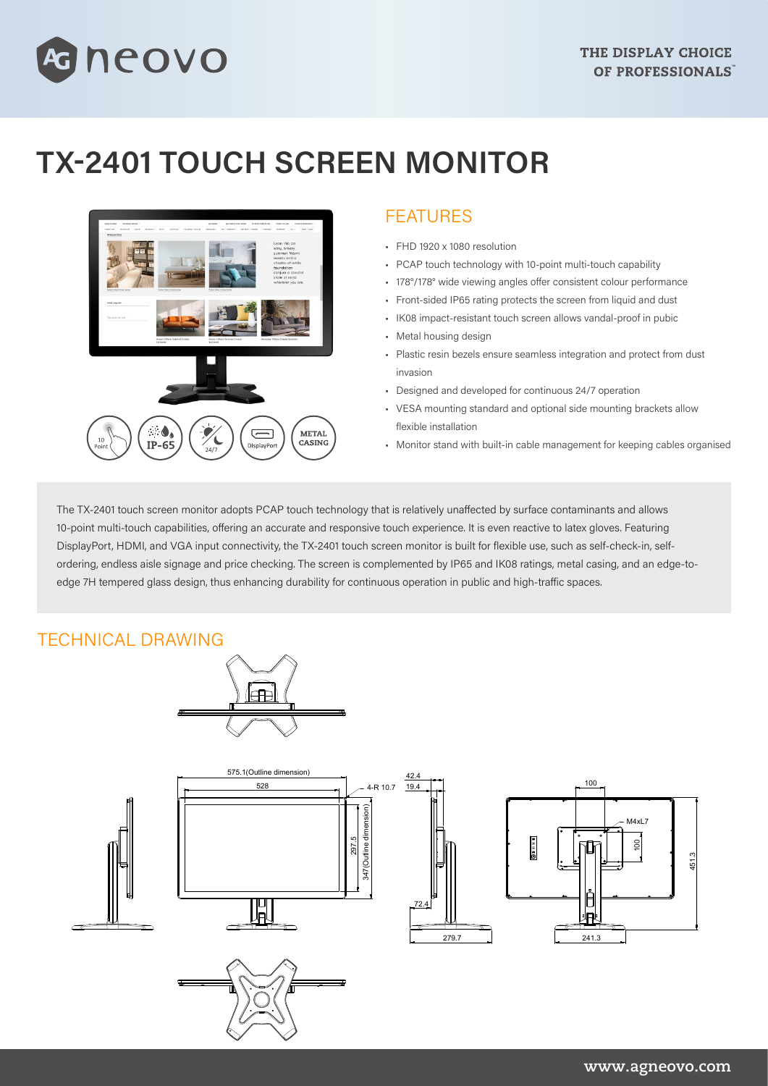# neovo

## **TX-2401 TOUCH SCREEN MONITOR**



### FEATURES

- FHD 1920 x 1080 resolution
- PCAP touch technology with 10-point multi-touch capability
- 178°/178° wide viewing angles offer consistent colour performance
- Front-sided IP65 rating protects the screen from liquid and dust
- IK08 impact-resistant touch screen allows vandal-proof in pubic
- Metal housing design
- Plastic resin bezels ensure seamless integration and protect from dust invasion
- Designed and developed for continuous 24/7 operation
- VESA mounting standard and optional side mounting brackets allow flexible installation
- Monitor stand with built-in cable management for keeping cables organised

The TX-2401 touch screen monitor adopts PCAP touch technology that is relatively unaffected by surface contaminants and allows 10-point multi-touch capabilities, offering an accurate and responsive touch experience. It is even reactive to latex gloves. Featuring DisplayPort, HDMI, and VGA input connectivity, the TX-2401 touch screen monitor is built for flexible use, such as self-check-in, selfordering, endless aisle signage and price checking. The screen is complemented by IP65 and IK08 ratings, metal casing, and an edge-toedge 7H tempered glass design, thus enhancing durability for continuous operation in public and high-traffic spaces.

#### TECHNICAL DRAWING